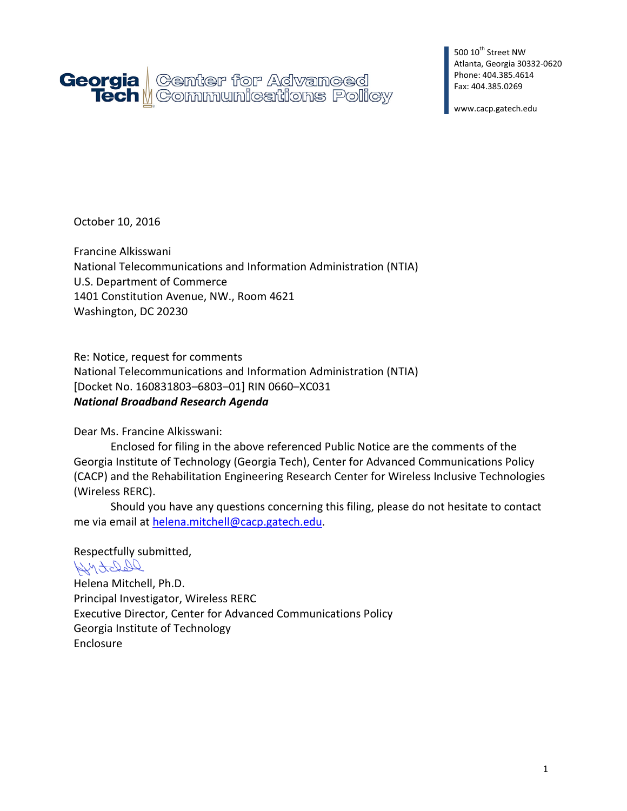

500 10<sup>th</sup> Street NW Atlanta, Georgia 30332-0620 Phone: 404.385.4614 Fax: 404.385.0269

www.cacp.gatech.edu

October 10, 2016

Francine Alkisswani National Telecommunications and Information Administration (NTIA) U.S. Department of Commerce 1401 Constitution Avenue, NW., Room 4621 Washington, DC 20230

Re: Notice, request for comments National Telecommunications and Information Administration (NTIA) [Docket No. 160831803–6803–01] RIN 0660–XC031 *National Broadband Research Agenda*

Dear Ms. Francine Alkisswani:

Enclosed for filing in the above referenced Public Notice are the comments of the Georgia Institute of Technology (Georgia Tech), Center for Advanced Communications Policy (CACP) and the Rehabilitation Engineering Research Center for Wireless Inclusive Technologies (Wireless RERC).

Should you have any questions concerning this filing, please do not hesitate to contact me via email at [helena.mitchell@cacp.gatech.edu.](mailto:helena.mitchell@cacp.gatech.edu)

Respectfully submitted,

DepotoMy Helena Mitchell, Ph.D. Principal Investigator, Wireless RERC Executive Director, Center for Advanced Communications Policy Georgia Institute of Technology Enclosure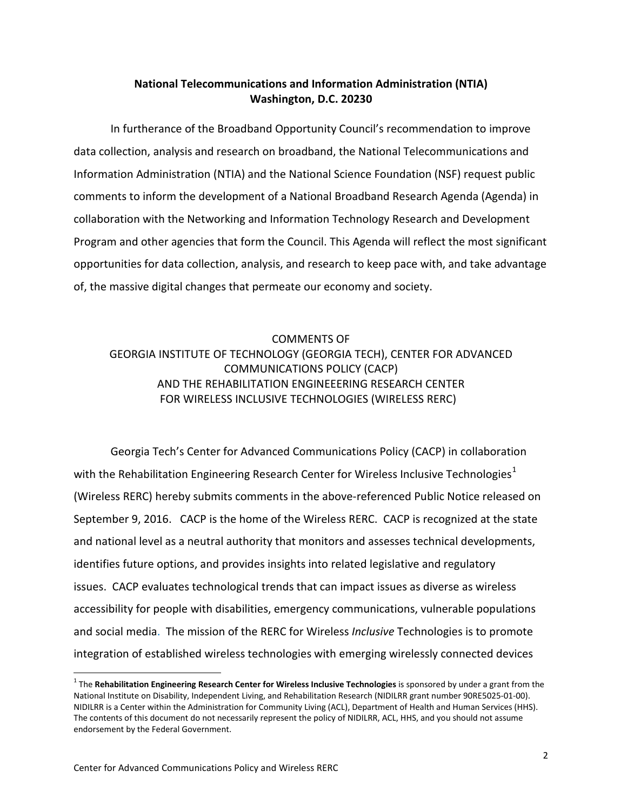### **National Telecommunications and Information Administration (NTIA) Washington, D.C. 20230**

In furtherance of the Broadband Opportunity Council's recommendation to improve data collection, analysis and research on broadband, the National Telecommunications and Information Administration (NTIA) and the National Science Foundation (NSF) request public comments to inform the development of a National Broadband Research Agenda (Agenda) in collaboration with the Networking and Information Technology Research and Development Program and other agencies that form the Council. This Agenda will reflect the most significant opportunities for data collection, analysis, and research to keep pace with, and take advantage of, the massive digital changes that permeate our economy and society.

## COMMENTS OF GEORGIA INSTITUTE OF TECHNOLOGY (GEORGIA TECH), CENTER FOR ADVANCED COMMUNICATIONS POLICY (CACP) AND THE REHABILITATION ENGINEEERING RESEARCH CENTER FOR WIRELESS INCLUSIVE TECHNOLOGIES (WIRELESS RERC)

Georgia Tech's Center for Advanced Communications Policy (CACP) in collaboration with the Rehabilitation Engineering Research Center for Wireless Inclusive Technologies<sup>[1](#page-1-0)</sup> (Wireless RERC) hereby submits comments in the above-referenced Public Notice released on September 9, 2016. CACP is the home of the Wireless RERC. CACP is recognized at the state and national level as a neutral authority that monitors and assesses technical developments, identifies future options, and provides insights into related legislative and regulatory issues. CACP evaluates technological trends that can impact issues as diverse as wireless accessibility for people with disabilities, emergency communications, vulnerable populations and social media. The mission of the RERC for Wireless *Inclusive* Technologies is to promote integration of established wireless technologies with emerging wirelessly connected devices

<span id="page-1-0"></span><sup>1</sup> The **Rehabilitation Engineering Research Center for Wireless Inclusive Technologies** is sponsored by under a grant from the National Institute on Disability, Independent Living, and Rehabilitation Research (NIDILRR grant number 90RE5025-01-00). NIDILRR is a Center within the Administration for Community Living (ACL), Department of Health and Human Services (HHS). The contents of this document do not necessarily represent the policy of NIDILRR, ACL, HHS, and you should not assume endorsement by the Federal Government.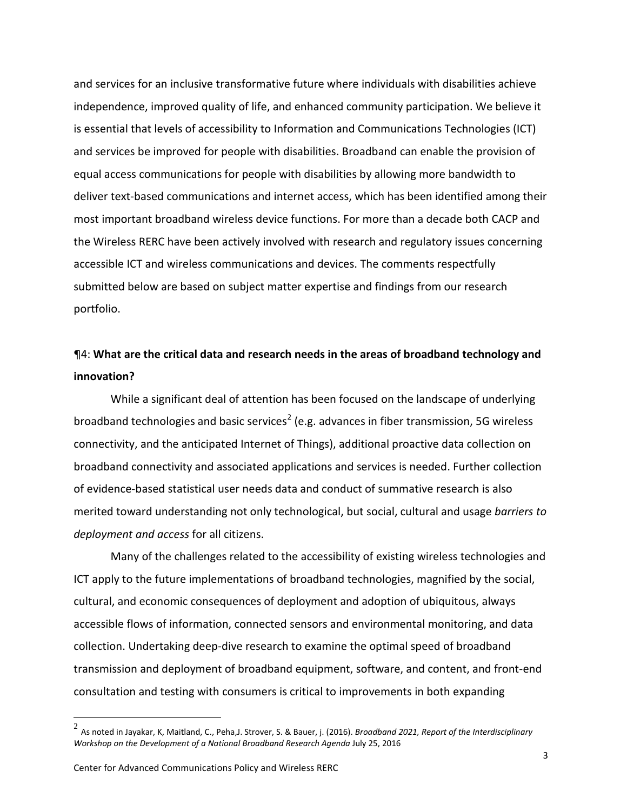and services for an inclusive transformative future where individuals with disabilities achieve independence, improved quality of life, and enhanced community participation. We believe it is essential that levels of accessibility to Information and Communications Technologies (ICT) and services be improved for people with disabilities. Broadband can enable the provision of equal access communications for people with disabilities by allowing more bandwidth to deliver text-based communications and internet access, which has been identified among their most important broadband wireless device functions. For more than a decade both CACP and the Wireless RERC have been actively involved with research and regulatory issues concerning accessible ICT and wireless communications and devices. The comments respectfully submitted below are based on subject matter expertise and findings from our research portfolio.

## ¶4: **What are the critical data and research needs in the areas of broadband technology and innovation?**

While a significant deal of attention has been focused on the landscape of underlying broadband technologies and basic services<sup>[2](#page-2-0)</sup> (e.g. advances in fiber transmission, 5G wireless connectivity, and the anticipated Internet of Things), additional proactive data collection on broadband connectivity and associated applications and services is needed. Further collection of evidence-based statistical user needs data and conduct of summative research is also merited toward understanding not only technological, but social, cultural and usage *barriers to deployment and access* for all citizens.

Many of the challenges related to the accessibility of existing wireless technologies and ICT apply to the future implementations of broadband technologies, magnified by the social, cultural, and economic consequences of deployment and adoption of ubiquitous, always accessible flows of information, connected sensors and environmental monitoring, and data collection. Undertaking deep-dive research to examine the optimal speed of broadband transmission and deployment of broadband equipment, software, and content, and front-end consultation and testing with consumers is critical to improvements in both expanding

<span id="page-2-0"></span> <sup>2</sup> As noted in Jayakar, K, Maitland, C., Peha,J. Strover, S. & Bauer, j. (2016). *Broadband 2021, Report of the Interdisciplinary Workshop on the Development of a National Broadband Research Agenda* July 25, 2016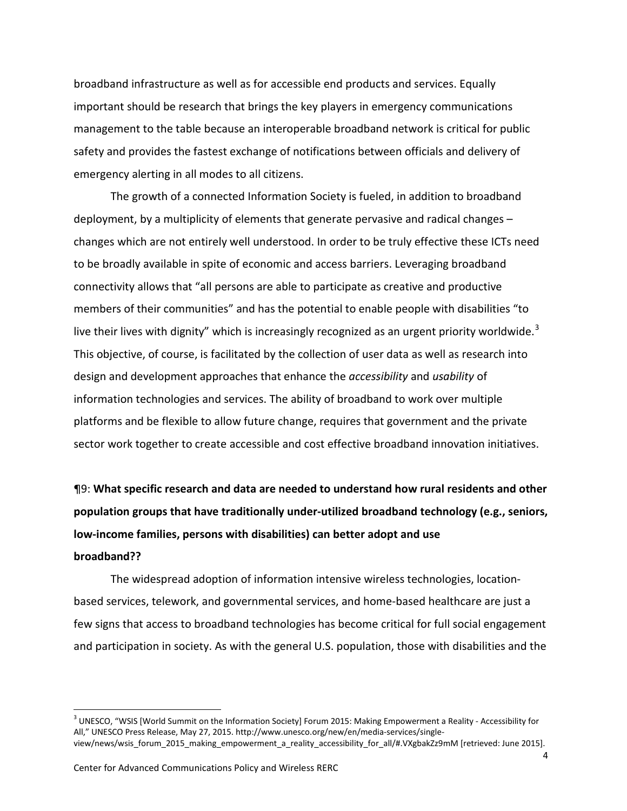broadband infrastructure as well as for accessible end products and services. Equally important should be research that brings the key players in emergency communications management to the table because an interoperable broadband network is critical for public safety and provides the fastest exchange of notifications between officials and delivery of emergency alerting in all modes to all citizens.

The growth of a connected Information Society is fueled, in addition to broadband deployment, by a multiplicity of elements that generate pervasive and radical changes – changes which are not entirely well understood. In order to be truly effective these ICTs need to be broadly available in spite of economic and access barriers. Leveraging broadband connectivity allows that "all persons are able to participate as creative and productive members of their communities" and has the potential to enable people with disabilities "to live their lives with dignity" which is increasingly recognized as an urgent priority worldwide.<sup>[3](#page-3-0)</sup> This objective, of course, is facilitated by the collection of user data as well as research into design and development approaches that enhance the *accessibility* and *usability* of information technologies and services. The ability of broadband to work over multiple platforms and be flexible to allow future change, requires that government and the private sector work together to create accessible and cost effective broadband innovation initiatives.

¶9: **What specific research and data are needed to understand how rural residents and other population groups that have traditionally under-utilized broadband technology (e.g., seniors, low-income families, persons with disabilities) can better adopt and use**

#### **broadband??**

The widespread adoption of information intensive wireless technologies, locationbased services, telework, and governmental services, and home-based healthcare are just a few signs that access to broadband technologies has become critical for full social engagement and participation in society. As with the general U.S. population, those with disabilities and the

<span id="page-3-0"></span><sup>&</sup>lt;sup>3</sup> UNESCO, "WSIS [World Summit on the Information Society] Forum 2015: Making Empowerment a Reality - Accessibility for All," UNESCO Press Release, May 27, 2015. http://www.unesco.org/new/en/media-services/singleview/news/wsis\_forum\_2015\_making\_empowerment\_a\_reality\_accessibility\_for\_all/#.VXgbakZz9mM [retrieved: June 2015].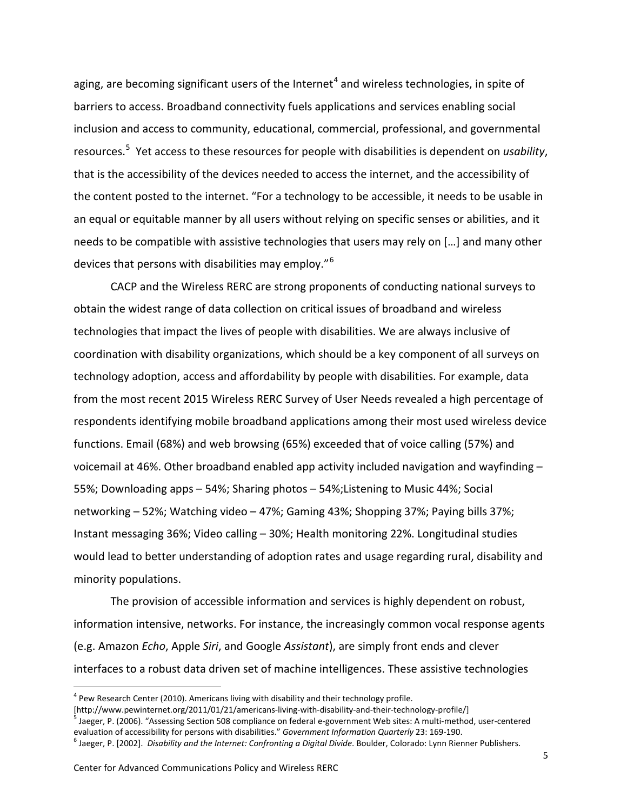aging, are becoming significant users of the Internet<sup>[4](#page-4-0)</sup> and wireless technologies, in spite of barriers to access. Broadband connectivity fuels applications and services enabling social inclusion and access to community, educational, commercial, professional, and governmental resources.[5](#page-4-1) Yet access to these resources for people with disabilities is dependent on *usability*, that is the accessibility of the devices needed to access the internet, and the accessibility of the content posted to the internet. "For a technology to be accessible, it needs to be usable in an equal or equitable manner by all users without relying on specific senses or abilities, and it needs to be compatible with assistive technologies that users may rely on […] and many other devices that persons with disabilities may employ."[6](#page-4-2)

CACP and the Wireless RERC are strong proponents of conducting national surveys to obtain the widest range of data collection on critical issues of broadband and wireless technologies that impact the lives of people with disabilities. We are always inclusive of coordination with disability organizations, which should be a key component of all surveys on technology adoption, access and affordability by people with disabilities. For example, data from the most recent 2015 Wireless RERC Survey of User Needs revealed a high percentage of respondents identifying mobile broadband applications among their most used wireless device functions. Email (68%) and web browsing (65%) exceeded that of voice calling (57%) and voicemail at 46%. Other broadband enabled app activity included navigation and wayfinding – 55%; Downloading apps – 54%; Sharing photos – 54%;Listening to Music 44%; Social networking – 52%; Watching video – 47%; Gaming 43%; Shopping 37%; Paying bills 37%; Instant messaging 36%; Video calling – 30%; Health monitoring 22%. Longitudinal studies would lead to better understanding of adoption rates and usage regarding rural, disability and minority populations.

The provision of accessible information and services is highly dependent on robust, information intensive, networks. For instance, the increasingly common vocal response agents (e.g. Amazon *Echo*, Apple *Siri*, and Google *Assistant*), are simply front ends and clever interfaces to a robust data driven set of machine intelligences. These assistive technologies

<span id="page-4-0"></span> $4$  Pew Research Center (2010). Americans living with disability and their technology profile.<br>[http://www.pewinternet.org/2011/01/21/americans-living-with-disability-and-their-technology-profile/]

<span id="page-4-1"></span> $^5$  Jaeger, P. (2006). "Assessing Section 508 compliance on federal e-government Web sites: A multi-method, user-centered evaluation of accessibility for persons with disabilities." Government Information Quarterly 23: 169-190.<br><sup>6</sup> Jaeger, P. [2002]. *Disability and the Internet: Confronting a Digital Divide*. Boulder, Colorado: Lynn Rienner

<span id="page-4-2"></span>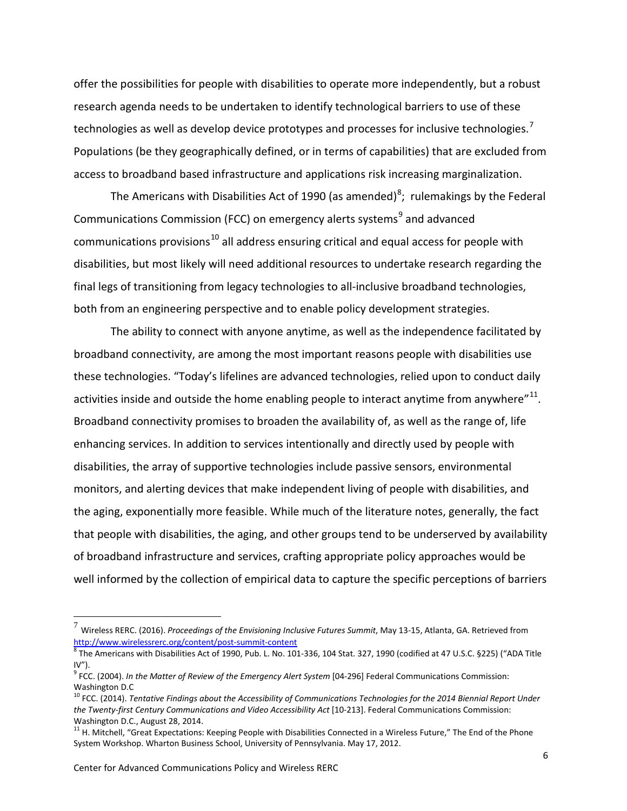offer the possibilities for people with disabilities to operate more independently, but a robust research agenda needs to be undertaken to identify technological barriers to use of these technologies as well as develop device prototypes and processes for inclusive technologies.<sup>[7](#page-5-0)</sup> Populations (be they geographically defined, or in terms of capabilities) that are excluded from access to broadband based infrastructure and applications risk increasing marginalization.

The Americans with Disabilities Act of 1990 (as amended)<sup>[8](#page-5-1)</sup>; rulemakings by the Federal Communications Commission (FCC) on emergency alerts systems<sup>[9](#page-5-2)</sup> and advanced communications provisions<sup>[10](#page-5-3)</sup> all address ensuring critical and equal access for people with disabilities, but most likely will need additional resources to undertake research regarding the final legs of transitioning from legacy technologies to all-inclusive broadband technologies, both from an engineering perspective and to enable policy development strategies.

The ability to connect with anyone anytime, as well as the independence facilitated by broadband connectivity, are among the most important reasons people with disabilities use these technologies. "Today's lifelines are advanced technologies, relied upon to conduct daily activities inside and outside the home enabling people to interact anytime from anywhere" $^{11}$  $^{11}$  $^{11}$ . Broadband connectivity promises to broaden the availability of, as well as the range of, life enhancing services. In addition to services intentionally and directly used by people with disabilities, the array of supportive technologies include passive sensors, environmental monitors, and alerting devices that make independent living of people with disabilities, and the aging, exponentially more feasible. While much of the literature notes, generally, the fact that people with disabilities, the aging, and other groups tend to be underserved by availability of broadband infrastructure and services, crafting appropriate policy approaches would be well informed by the collection of empirical data to capture the specific perceptions of barriers

<span id="page-5-0"></span> <sup>7</sup> Wireless RERC. (2016). *Proceedings of the Envisioning Inclusive Futures Summit*, May 13-15, Atlanta, GA. Retrieved from <http://www.wirelessrerc.org/content/post-summit-content><br><sup>8</sup> The Americans with Disabilities Act of 1990, Pub. L. No. 101-336, 104 Stat. 327, 1990 (codified at 47 U.S.C. §225) ("ADA Title

<span id="page-5-1"></span> $IV''$ ).

<span id="page-5-2"></span><sup>&</sup>lt;sup>9</sup> FCC. (2004). *In the Matter of Review of the Emergency Alert System* [04-296] Federal Communications Commission: Washington D.C

<span id="page-5-3"></span><sup>10</sup> FCC. (2014). *Tentative Findings about the Accessibility of Communications Technologies for the 2014 Biennial Report Under the Twenty-first Century Communications and Video Accessibility Act* [10-213]. Federal Communications Commission: Washington D.C., August 28, 2014.

<span id="page-5-4"></span><sup>&</sup>lt;sup>11</sup> H. Mitchell, "Great Expectations: Keeping People with Disabilities Connected in a Wireless Future," The End of the Phone System Workshop. Wharton Business School, University of Pennsylvania. May 17, 2012.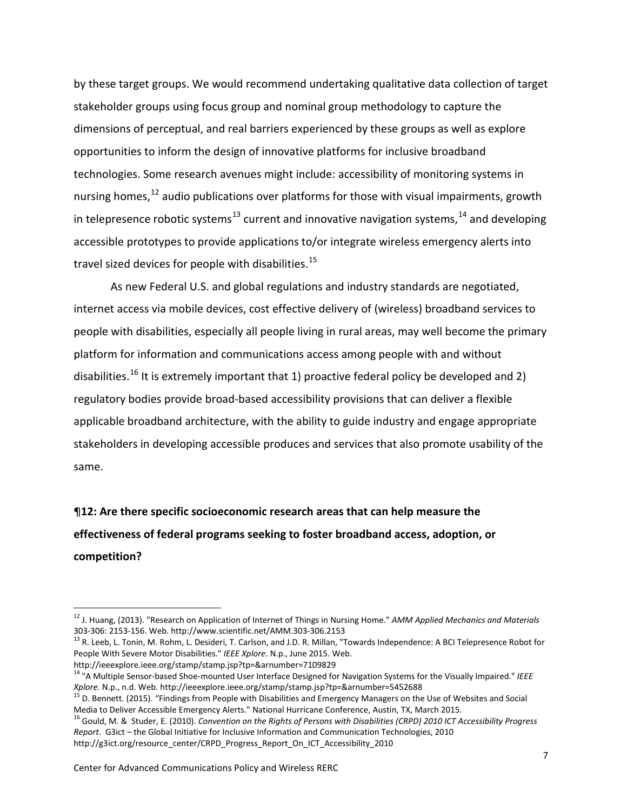by these target groups. We would recommend undertaking qualitative data collection of target stakeholder groups using focus group and nominal group methodology to capture the dimensions of perceptual, and real barriers experienced by these groups as well as explore opportunities to inform the design of innovative platforms for inclusive broadband technologies. Some research avenues might include: accessibility of monitoring systems in nursing homes,<sup>[12](#page-6-0)</sup> audio publications over platforms for those with visual impairments, growth in telepresence robotic systems<sup>[13](#page-6-1)</sup> current and innovative navigation systems,  $14$  and developing accessible prototypes to provide applications to/or integrate wireless emergency alerts into travel sized devices for people with disabilities.<sup>[15](#page-6-3)</sup>

As new Federal U.S. and global regulations and industry standards are negotiated, internet access via mobile devices, cost effective delivery of (wireless) broadband services to people with disabilities, especially all people living in rural areas, may well become the primary platform for information and communications access among people with and without disabilities.<sup>[16](#page-6-4)</sup> It is extremely important that 1) proactive federal policy be developed and 2) regulatory bodies provide broad-based accessibility provisions that can deliver a flexible applicable broadband architecture, with the ability to guide industry and engage appropriate stakeholders in developing accessible produces and services that also promote usability of the same.

# ¶**12: Are there specific socioeconomic research areas that can help measure the effectiveness of federal programs seeking to foster broadband access, adoption, or competition?**

<span id="page-6-0"></span><sup>12</sup> J. Huang, (2013). "Research on Application of Internet of Things in Nursing Home." *AMM Applied Mechanics and Materials*

<span id="page-6-1"></span><sup>&</sup>lt;sup>13</sup> R. Leeb, L. Tonin, M. Rohm, L. Desideri, T. Carlson, and J.D. R. Millan, "Towards Independence: A BCI Telepresence Robot for People With Severe Motor Disabilities." *IEEE Xplore*. N.p., June 2015. Web.

http://ieeexplore.ieee.org/stamp/stamp.jsp?tp=&arnumber=7109829

<span id="page-6-2"></span><sup>14</sup> "A Multiple Sensor-based Shoe-mounted User Interface Designed for Navigation Systems for the Visually Impaired." *IEEE* 

<span id="page-6-3"></span>*Xplore.* N.p., n.d. Web. http://ieeexplore.ieee.org/stamp/stamp.jsp?tp=&arnumber=5452688<br><sup>15</sup> D. Bennett. (2015). "Findings from People with Disabilities and Emergency Managers on the Use of Websites and Social<br>Media to D

<span id="page-6-4"></span><sup>&</sup>lt;sup>16</sup> Gould, M. & Studer, E. (2010). Convention on the Rights of Persons with Disabilities (CRPD) 2010 ICT Accessibility Progress *Report*. G3ict – the Global Initiative for Inclusive Information and Communication Technologies, 2010 http://g3ict.org/resource\_center/CRPD\_Progress\_Report\_On\_ICT\_Accessibility\_2010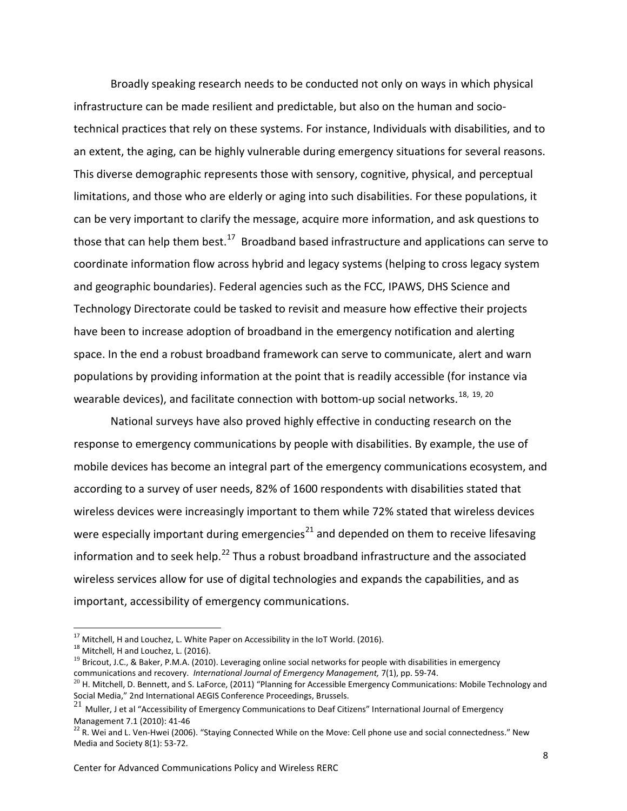Broadly speaking research needs to be conducted not only on ways in which physical infrastructure can be made resilient and predictable, but also on the human and sociotechnical practices that rely on these systems. For instance, Individuals with disabilities, and to an extent, the aging, can be highly vulnerable during emergency situations for several reasons. This diverse demographic represents those with sensory, cognitive, physical, and perceptual limitations, and those who are elderly or aging into such disabilities. For these populations, it can be very important to clarify the message, acquire more information, and ask questions to those that can help them best.<sup>[17](#page-7-0)</sup> Broadband based infrastructure and applications can serve to coordinate information flow across hybrid and legacy systems (helping to cross legacy system and geographic boundaries). Federal agencies such as the FCC, IPAWS, DHS Science and Technology Directorate could be tasked to revisit and measure how effective their projects have been to increase adoption of broadband in the emergency notification and alerting space. In the end a robust broadband framework can serve to communicate, alert and warn populations by providing information at the point that is readily accessible (for instance via wearable devices), and facilitate connection with bottom-up social networks.<sup>[18](#page-7-1), [19](#page-7-2), 20</sup>

National surveys have also proved highly effective in conducting research on the response to emergency communications by people with disabilities. By example, the use of mobile devices has become an integral part of the emergency communications ecosystem, and according to a survey of user needs, 82% of 1600 respondents with disabilities stated that wireless devices were increasingly important to them while 72% stated that wireless devices were especially important during emergencies<sup>[21](#page-7-4)</sup> and depended on them to receive lifesaving information and to seek help.<sup>[22](#page-7-5)</sup> Thus a robust broadband infrastructure and the associated wireless services allow for use of digital technologies and expands the capabilities, and as important, accessibility of emergency communications.

<span id="page-7-1"></span><span id="page-7-0"></span><sup>&</sup>lt;sup>17</sup> Mitchell, H and Louchez, L. White Paper on Accessibility in the IoT World. (2016).<br><sup>18</sup> Mitchell, H and Louchez, L. (2016).

<span id="page-7-2"></span> $19$  Bricout, J.C., & Baker, P.M.A. (2010). Leveraging online social networks for people with disabilities in emergency communications and recovery. *International Journal of Emergency Management,* 7(1), pp. 59-74.

<span id="page-7-3"></span> $20$  H. Mitchell, D. Bennett, and S. LaForce, (2011) "Planning for Accessible Emergency Communications: Mobile Technology and Social Media," 2nd International AEGIS Conference Proceedings, Brussels.

<span id="page-7-4"></span><sup>21</sup> Muller, J et al "Accessibility of Emergency Communications to Deaf Citizens" International Journal of Emergency<br>Management 7.1 (2010): 41-46

<span id="page-7-5"></span> $^{22}$  R. Wei and L. Ven-Hwei (2006). "Staying Connected While on the Move: Cell phone use and social connectedness." New Media and Society 8(1): 53-72.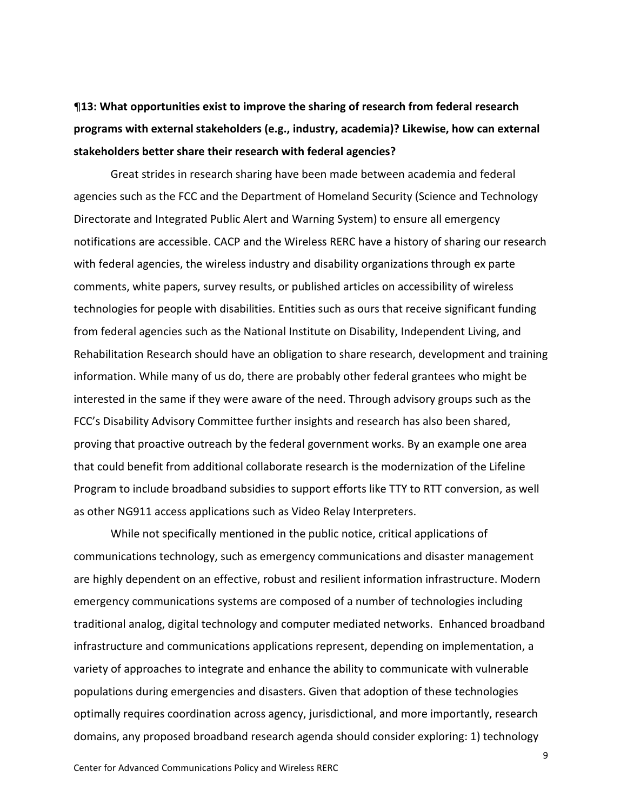¶**13: What opportunities exist to improve the sharing of research from federal research programs with external stakeholders (e.g., industry, academia)? Likewise, how can external stakeholders better share their research with federal agencies?**

Great strides in research sharing have been made between academia and federal agencies such as the FCC and the Department of Homeland Security (Science and Technology Directorate and Integrated Public Alert and Warning System) to ensure all emergency notifications are accessible. CACP and the Wireless RERC have a history of sharing our research with federal agencies, the wireless industry and disability organizations through ex parte comments, white papers, survey results, or published articles on accessibility of wireless technologies for people with disabilities. Entities such as ours that receive significant funding from federal agencies such as the National Institute on Disability, Independent Living, and Rehabilitation Research should have an obligation to share research, development and training information. While many of us do, there are probably other federal grantees who might be interested in the same if they were aware of the need. Through advisory groups such as the FCC's Disability Advisory Committee further insights and research has also been shared, proving that proactive outreach by the federal government works. By an example one area that could benefit from additional collaborate research is the modernization of the Lifeline Program to include broadband subsidies to support efforts like TTY to RTT conversion, as well as other NG911 access applications such as Video Relay Interpreters.

While not specifically mentioned in the public notice, critical applications of communications technology, such as emergency communications and disaster management are highly dependent on an effective, robust and resilient information infrastructure. Modern emergency communications systems are composed of a number of technologies including traditional analog, digital technology and computer mediated networks. Enhanced broadband infrastructure and communications applications represent, depending on implementation, a variety of approaches to integrate and enhance the ability to communicate with vulnerable populations during emergencies and disasters. Given that adoption of these technologies optimally requires coordination across agency, jurisdictional, and more importantly, research domains, any proposed broadband research agenda should consider exploring: 1) technology